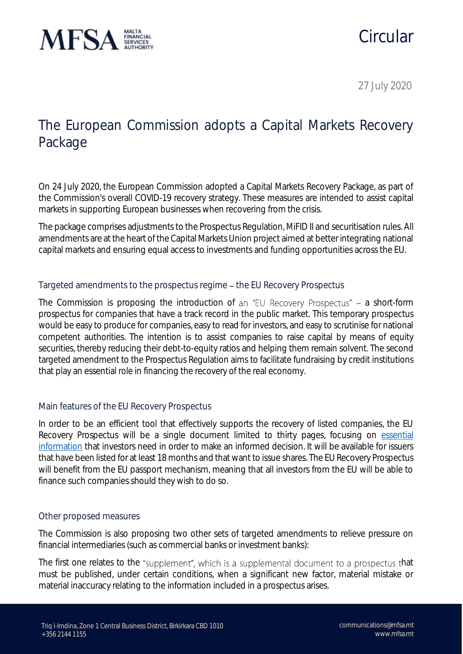

# Circular

27 July 2020

## The European Commission adopts a Capital Markets Recovery Package

On 24 July 2020, the European Commission adopted a Capital Markets Recovery Package, as part of the Commission's overall COVID-19 recovery strategy. These measures are intended to assist capital markets in supporting European businesses when recovering from the crisis.

The package comprises adjustments to the Prospectus Regulation, MiFID II and securitisation rules. All amendments are at the heart of the Capital Markets Union project aimed at better integrating national capital markets and ensuring equal access to investments and funding opportunities across the EU.

### Targeted amendments to the prospectus regime - the EU Recovery Prospectus

The Commission is proposing the introduction of an "EU Recovery Prospectus"  $-$  a short-form prospectus for companies that have a track record in the public market. This temporary prospectus would be easy to produce for companies, easy to read for investors, and easy to scrutinise for national competent authorities. The intention is to assist companies to raise capital by means of equity securities, thereby reducing their debt-to-equity ratios and helping them remain solvent. The second targeted amendment to the Prospectus Regulation aims to facilitate fundraising by credit institutions that play an essential role in financing the recovery of the real economy.

### Main features of the EU Recovery Prospectus

In order to be an efficient tool that effectively supports the recovery of listed companies, the EU Recovery Prospectus will be a single document limited to thirty pages, focusing on [essential](https://ec.europa.eu/finance/docs/law/200724-prospectus-review-proposal-annex_en.pdf)  [information](https://ec.europa.eu/finance/docs/law/200724-prospectus-review-proposal-annex_en.pdf) that investors need in order to make an informed decision. It will be available for issuers that have been listed for at least 18 months and that want to issue shares. The EU Recovery Prospectus will benefit from the EU passport mechanism, meaning that all investors from the EU will be able to finance such companies should they wish to do so.

### Other proposed measures

The Commission is also proposing two other sets of targeted amendments to relieve pressure on financial intermediaries (such as commercial banks or investment banks):

The first one relates to the "supplement", which is a supplemental document to a prospectus that must be published, under certain conditions, when a significant new factor, material mistake or material inaccuracy relating to the information included in a prospectus arises.